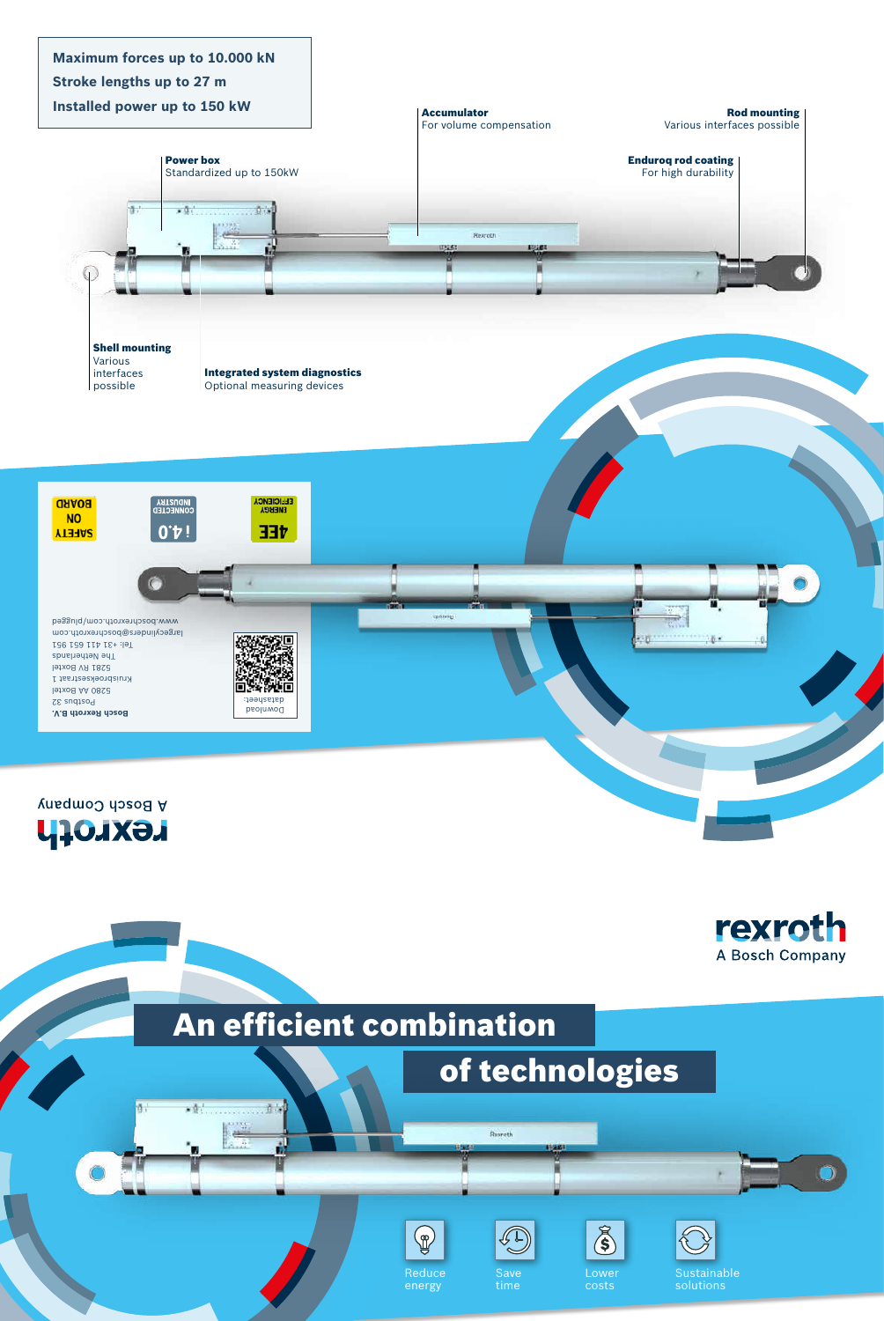

香宁

i.

of technologies

**Base** 

# An efficient combination





A Bosch Company

**Maximum forces up to 10.000 kN** 









Rexroth

555

Save time







Sustainable solutions